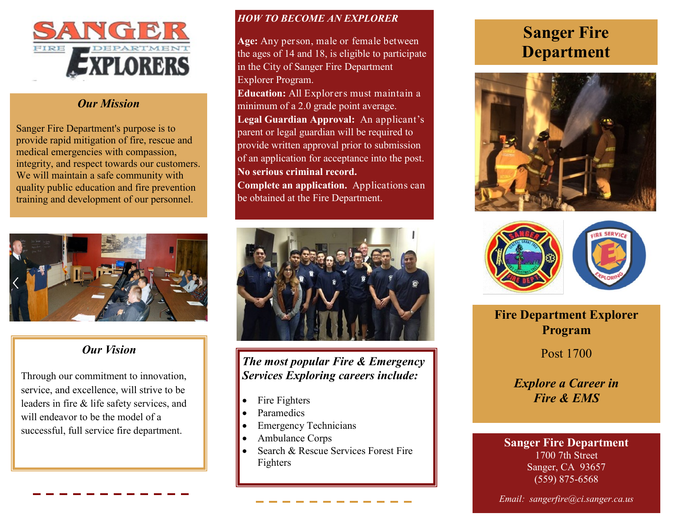

#### *Our Mission*

Sanger Fire Department's purpose is to provide rapid mitigation of fire, rescue and medical emergencies with compassion, integrity, and respect towards our customers. We will maintain a safe community with quality public education and fire prevention training and development of our personnel.



#### *Our Vision*

Through our commitment to innovation, service, and excellence, will strive to be leaders in fire & life safety services, and will endeavor to be the model of a successful, full service fire department.

#### *HOW TO BECOME AN EXPLORER*

**Age:** Any person, male or female between the ages of 14 and 18, is eligible to participate in the City of Sanger Fire Department Explorer Program.

**Education:** All Explorers must maintain a minimum of a 2.0 grade point average. **Legal Guardian Approval:** An applicant's parent or legal guardian will be required to provide written approval prior to submission of an application for acceptance into the post. **No serious criminal record.**

**Complete an application.** Applications can be obtained at the Fire Department.



*The most popular Fire & Emergency Services Exploring careers include:*

- Fire Fighters
- Paramedics
- Emergency Technicians
- Ambulance Corps
- Search & Rescue Services Forest Fire Fighters

# **Sanger Fire Department**





**Fire Department Explorer Program**

Post 1700

*Explore a Career in Fire & EMS*

# **Sanger Fire Department**

1700 7th Street Sanger, CA 93657 (559) 875-6568